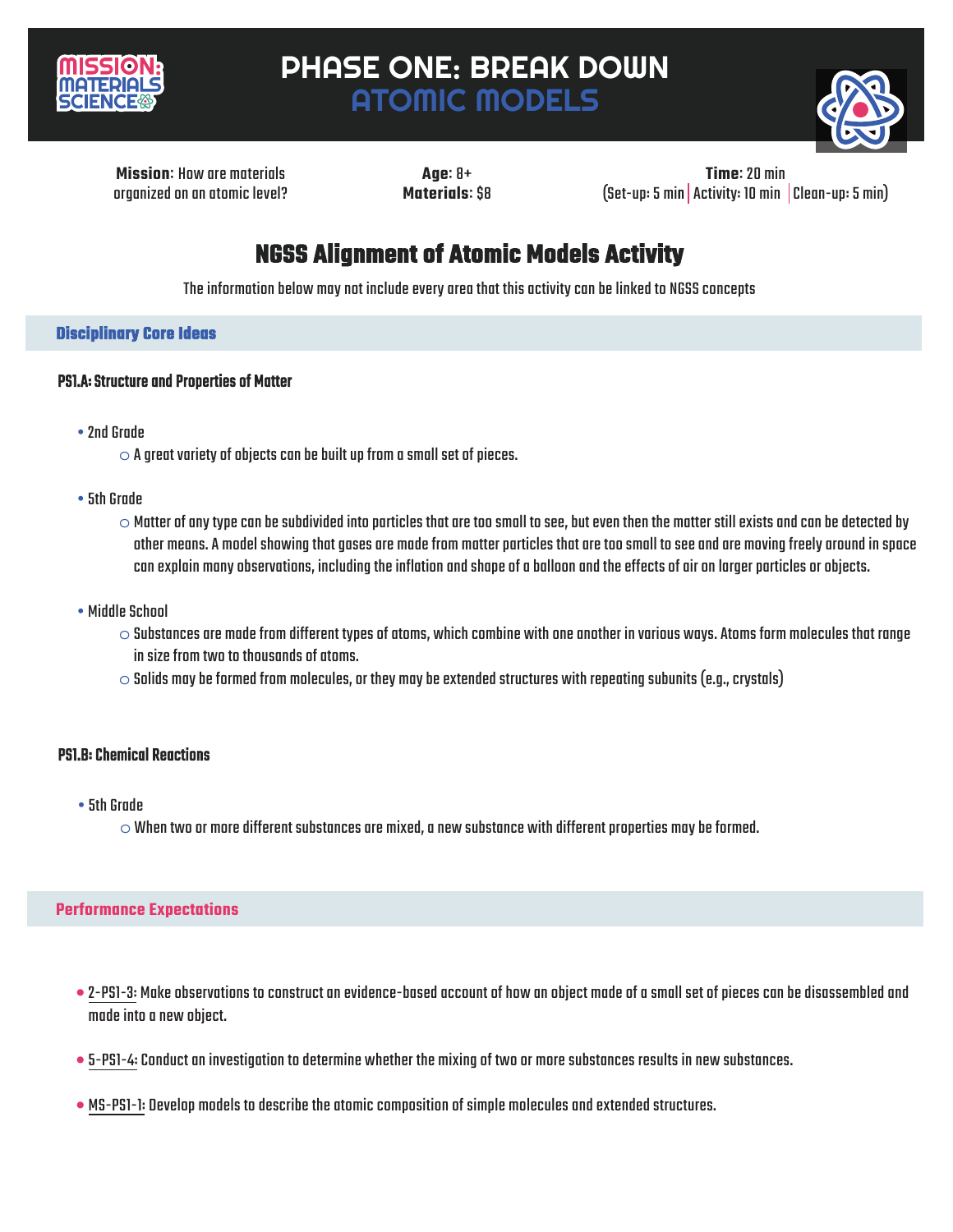

# PHASE ONE: BREAK DOWN ATOMIC MODELS



**Missionः** How are materials organized on an atomic level?

**Ageः** 8+ **Materialsः** \$8

**Timeः** 20 min (Set-up: 5 min Activity: 10 min Clean-up: 5 min)

## **NGSS Alignment of Atomic Models Activity**

The information below may not include every area that this activity can be linked to NGSS concepts

## **Disciplinary Core Ideas**

### PS1.A: Structure and Properties of Matter

- •2nd Grade
	- $\circ$  A great variety of objects can be built up from a small set of pieces.
- •5th Grade
	- $\circ$  Matter of any type can be subdivided into particles that are too small to see, but even then the matter still exists and can be detected by other means. A model showing that gases are made from matter particles that are too small to see and are moving freely around in space can explain many observations, including the inflation and shape of a balloon and the effects of air on larger particles or objects.
- Middle School
	- $\circ$  Substances are made from different types of atoms, which combine with one another in various ways. Atoms form molecules that range in size from two to thousands of atoms.
	- $\circ$  Solids may be formed from molecules, or they may be extended structures with repeating subunits (e.g., crystals)

## PS1.B: Chemical Reactions

- •5th Grade
	- $\circ$  When two or more different substances are mixed, a new substance with different properties may be formed.

#### **Performance Expectations**

- 2-PS1-3: Make observations to construct an evidence-based account of how an object made of a small set of pieces can be disassembled and made into a new object.
- 5-PS1-4: Conduct an investigation to determine whether the mixing of two or more substances results in new substances.
- MS-PS1-1: Develop models to describe the atomic composition of simple molecules and extended structures.